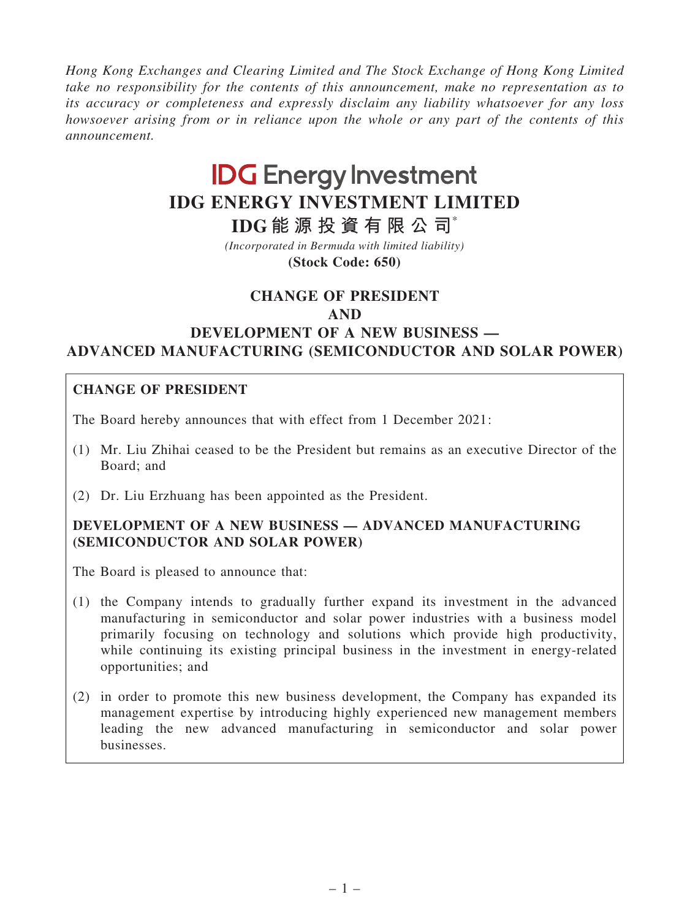Hong Kong Exchanges and Clearing Limited and The Stock Exchange of Hong Kong Limited take no responsibility for the contents of this announcement, make no representation as to its accuracy or completeness and expressly disclaim any liability whatsoever for any loss howsoever arising from or in reliance upon the whole or any part of the contents of this announcement.

# **IDG Energy Investment IDG ENERGY INVESTMENT LIMITED**

**IDG 能 源 投 資 有 限 公 司**\*

**(Stock Code: 650)** *(Incorporated in Bermuda with limited liability)*

# CHANGE OF PRESIDENT

#### AND

# DEVELOPMENT OF A NEW BUSINESS — ADVANCED MANUFACTURING (SEMICONDUCTOR AND SOLAR POWER)

## CHANGE OF PRESIDENT

The Board hereby announces that with effect from 1 December 2021:

- (1) Mr. Liu Zhihai ceased to be the President but remains as an executive Director of the Board; and
- (2) Dr. Liu Erzhuang has been appointed as the President.

## DEVELOPMENT OF A NEW BUSINESS — ADVANCED MANUFACTURING (SEMICONDUCTOR AND SOLAR POWER)

The Board is pleased to announce that:

- (1) the Company intends to gradually further expand its investment in the advanced manufacturing in semiconductor and solar power industries with a business model primarily focusing on technology and solutions which provide high productivity, while continuing its existing principal business in the investment in energy-related opportunities; and
- (2) in order to promote this new business development, the Company has expanded its management expertise by introducing highly experienced new management members leading the new advanced manufacturing in semiconductor and solar power businesses.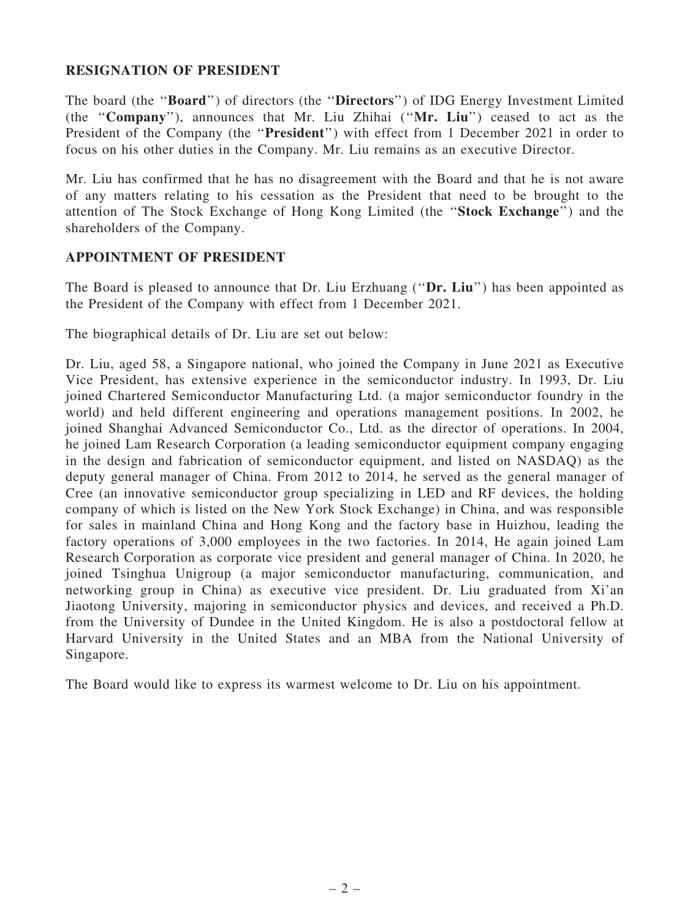#### RESIGNATION OF PRESIDENT

The board (the ''Board'') of directors (the ''Directors'') of IDG Energy Investment Limited (the ''Company''), announces that Mr. Liu Zhihai (''Mr. Liu'') ceased to act as the President of the Company (the "President") with effect from 1 December 2021 in order to focus on his other duties in the Company. Mr. Liu remains as an executive Director.

Mr. Liu has confirmed that he has no disagreement with the Board and that he is not aware of any matters relating to his cessation as the President that need to be brought to the attention of The Stock Exchange of Hong Kong Limited (the ''Stock Exchange'') and the shareholders of the Company.

#### APPOINTMENT OF PRESIDENT

The Board is pleased to announce that Dr. Liu Erzhuang ("Dr. Liu") has been appointed as the President of the Company with effect from 1 December 2021.

The biographical details of Dr. Liu are set out below:

Dr. Liu, aged 58, a Singapore national, who joined the Company in June 2021 as Executive Vice President, has extensive experience in the semiconductor industry. In 1993, Dr. Liu joined Chartered Semiconductor Manufacturing Ltd. (a major semiconductor foundry in the world) and held different engineering and operations management positions. In 2002, he joined Shanghai Advanced Semiconductor Co., Ltd. as the director of operations. In 2004, he joined Lam Research Corporation (a leading semiconductor equipment company engaging in the design and fabrication of semiconductor equipment, and listed on NASDAQ) as the deputy general manager of China. From 2012 to 2014, he served as the general manager of Cree (an innovative semiconductor group specializing in LED and RF devices, the holding company of which is listed on the New York Stock Exchange) in China, and was responsible for sales in mainland China and Hong Kong and the factory base in Huizhou, leading the factory operations of 3,000 employees in the two factories. In 2014, He again joined Lam Research Corporation as corporate vice president and general manager of China. In 2020, he joined Tsinghua Unigroup (a major semiconductor manufacturing, communication, and networking group in China) as executive vice president. Dr. Liu graduated from Xi'an Jiaotong University, majoring in semiconductor physics and devices, and received a Ph.D. from the University of Dundee in the United Kingdom. He is also a postdoctoral fellow at Harvard University in the United States and an MBA from the National University of Singapore.

The Board would like to express its warmest welcome to Dr. Liu on his appointment.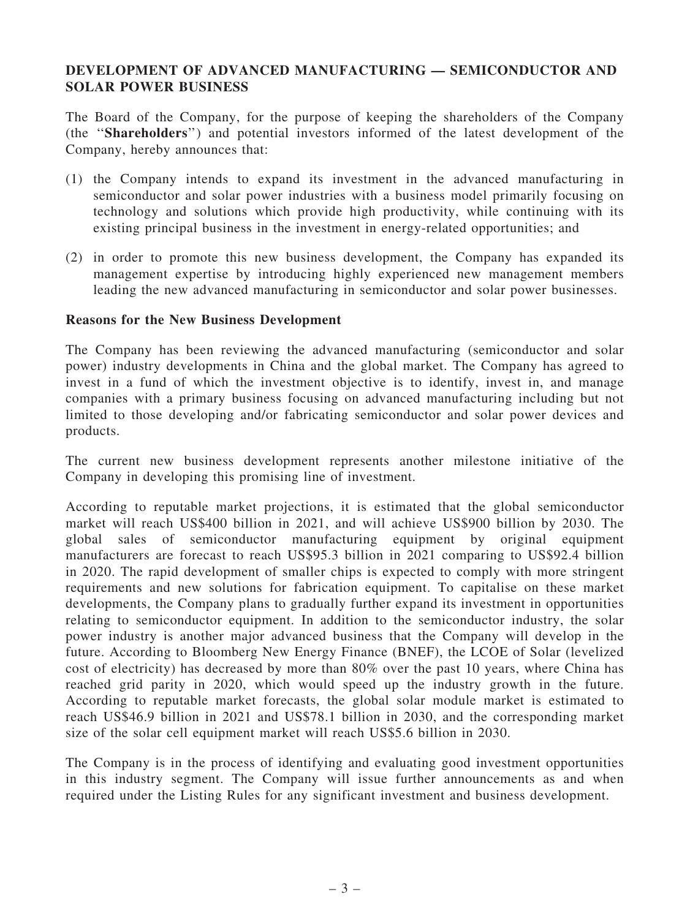#### DEVELOPMENT OF ADVANCED MANUFACTURING — SEMICONDUCTOR AND SOLAR POWER BUSINESS

The Board of the Company, for the purpose of keeping the shareholders of the Company (the ''Shareholders'') and potential investors informed of the latest development of the Company, hereby announces that:

- (1) the Company intends to expand its investment in the advanced manufacturing in semiconductor and solar power industries with a business model primarily focusing on technology and solutions which provide high productivity, while continuing with its existing principal business in the investment in energy-related opportunities; and
- (2) in order to promote this new business development, the Company has expanded its management expertise by introducing highly experienced new management members leading the new advanced manufacturing in semiconductor and solar power businesses.

#### Reasons for the New Business Development

The Company has been reviewing the advanced manufacturing (semiconductor and solar power) industry developments in China and the global market. The Company has agreed to invest in a fund of which the investment objective is to identify, invest in, and manage companies with a primary business focusing on advanced manufacturing including but not limited to those developing and/or fabricating semiconductor and solar power devices and products.

The current new business development represents another milestone initiative of the Company in developing this promising line of investment.

According to reputable market projections, it is estimated that the global semiconductor market will reach US\$400 billion in 2021, and will achieve US\$900 billion by 2030. The global sales of semiconductor manufacturing equipment by original equipment manufacturers are forecast to reach US\$95.3 billion in 2021 comparing to US\$92.4 billion in 2020. The rapid development of smaller chips is expected to comply with more stringent requirements and new solutions for fabrication equipment. To capitalise on these market developments, the Company plans to gradually further expand its investment in opportunities relating to semiconductor equipment. In addition to the semiconductor industry, the solar power industry is another major advanced business that the Company will develop in the future. According to Bloomberg New Energy Finance (BNEF), the LCOE of Solar (levelized cost of electricity) has decreased by more than 80% over the past 10 years, where China has reached grid parity in 2020, which would speed up the industry growth in the future. According to reputable market forecasts, the global solar module market is estimated to reach US\$46.9 billion in 2021 and US\$78.1 billion in 2030, and the corresponding market size of the solar cell equipment market will reach US\$5.6 billion in 2030.

The Company is in the process of identifying and evaluating good investment opportunities in this industry segment. The Company will issue further announcements as and when required under the Listing Rules for any significant investment and business development.